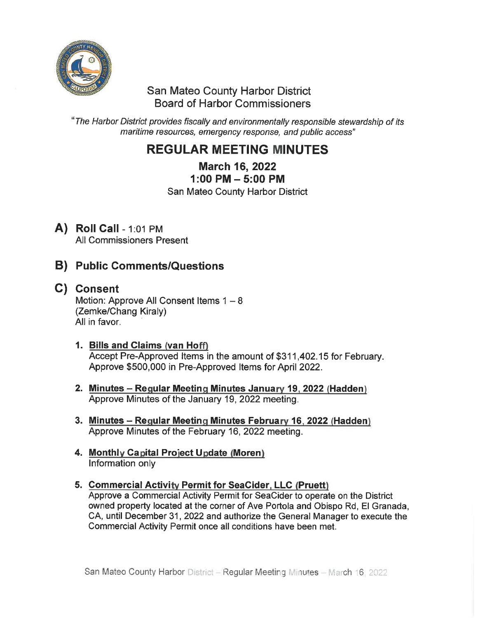

### San Mateo County Harbor District Board of Harbor Commissioners

'The Harbor District provides fiscally and environmentally responsible stewardship of its maritime resources, emergency response, and public access"

# REGULAR MEETING MINUTES

March 16, 2022

1:00 PM-5:00 PM

San Mateo County Harbor District

A) Roll Call - 1:01 PM All Commissioners Present

## B) Public Comments/Questions

- C) Consent Motion: Approve All Consent Items  $1 - 8$ (Zemke/Chang Kiraly) All in favor.
	- 1. Bills and Claims (van Hoff) Accept Pre-Approved Items in the amount of \$311, 402. 15 for February. Approve \$500, 000 in Pre-Approved Items for April 2022.
	- 2. Minutes Regular Meeting Minutes January 19, 2022 (Hadden) Approve Minutes of the January 19, 2022 meeting.
	- 3. Minutes Regular Meeting Minutes February 16, 2022 (Hadden) Approve Minutes of the February 16, 2022 meeting.
	- 4. Monthly Capital Project Update (Moren) Information only
	- 5. Commercial Activity Permit for SeaCider, LLC (Pruett) Approve a Commercial Activity Permit for SeaCider to operate on the District owned property located at the corner of Ave Portola and Obispo Rd, El Granada, CA, until December 31, 2022 and authorize the General Manager to execute the Commercial Activity Permit once all conditions have been met.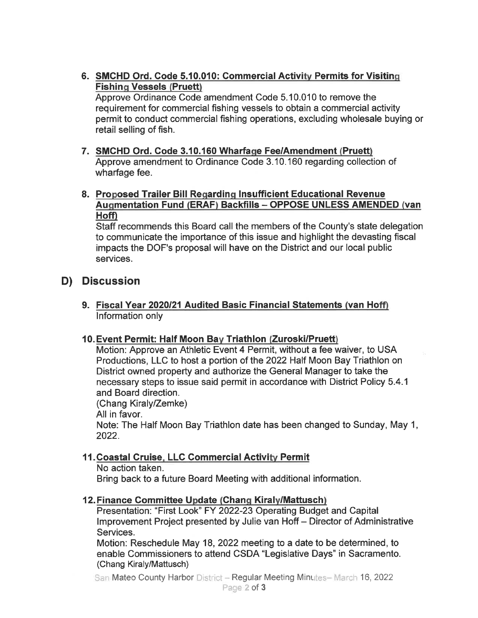6. SMCHD Ord. Code 5.10.010: Commercial Activity Permits for Visiting **Fishing Vessels (Pruett)** 

Approve Ordinance Code amendment Code 5. 10.010 to remove the requirement for commercial fishing vessels to obtain a commercial activity permit to conduct commercial fishing operations, excluding wholesale buying or retail selling of fish.

- 7. SMCHD Ord. Code 3.10.160 Wharfage Fee/Amendment (Pruett) Approve amendment to Ordinance Code 3. 10. 160 regarding collection of wharfage fee.
- 8. Proposed Trailer Bill Regarding Insufficient Educational Revenue Augmentation Fund (ERAF) Backfills - OPPOSE UNLESS AMENDED (van Hoff)

Staff recommends this Board call the members of the County's state delegation to communicate the importance of this issue and highlight the devasting fiscal impacts the DOF's proposal will have on the District and our local public services.

### D) Discussion

9. Fiscal Year 2020/21 Audited Basic Financial Statements (van Hoff) Information only

### 10. Event Permit: Half Moon Bay Triathlon (Zuroski/Pruett)

Motion: Approve an Athletic Event 4 Permit, without a fee waiver, to USA Productions, LLC to host a portion of the 2022 Half Moon Bay Triathlon on District owned property and authorize the General Manager to take the necessary steps to issue said permit in accordance with District Policy 5. 4.1 and Board direction.

(Chang Kiraly/Zemke) All in favor. Note: The Half Moon Bay Triathlon date has been changed to Sunday, May 1, 2022.

### 11. Coastal Cruise, LLC Commercial Activity Permit

No action taken.

Bring back to a future Board Meeting with additional information.

### 12. Finance Committee Update (Chang Kiraly/Mattusch)

Presentation: "First Look" FY 2022-23 Operating Budget and Capital Improvement Project presented by Julie van Hoff- Director of Administrative Services.

Motion: Reschedule May 18, 2022 meeting to a date to be determined, to enable Commissioners to attend CSDA "Legislative Days" in Sacramento. (Chang Kiraly/Mattusch)

San Mateo County Harbor District - Regular Meeting Minutes-March 16, 2022